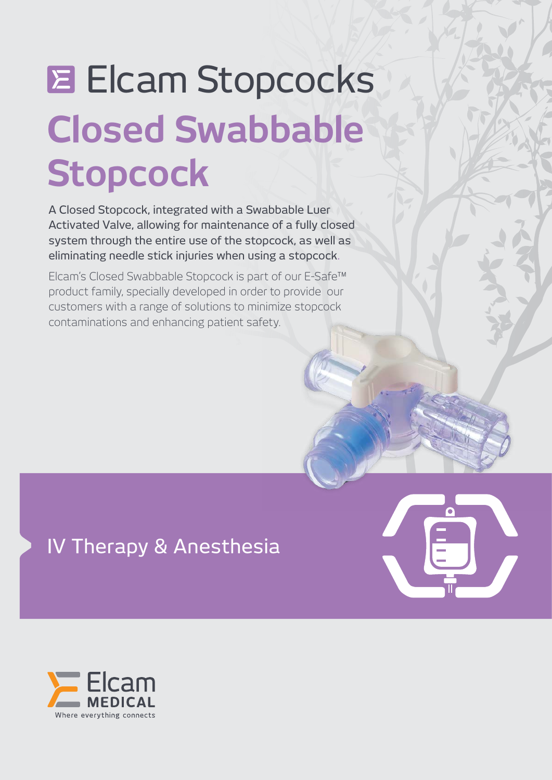# **Closed Swabbable Stopcock Elcam Stopcocks**

A Closed Stopcock, integrated with a Swabbable Luer Activated Valve, allowing for maintenance of a fully closed system through the entire use of the stopcock, as well as eliminating needle stick injuries when using a stopcock.

Elcam's Closed Swabbable Stopcock is part of our E-Safe™ product family, specially developed in order to provide our customers with a range of solutions to minimize stopcock contaminations and enhancing patient safety.

IV Therapy & Anesthesia